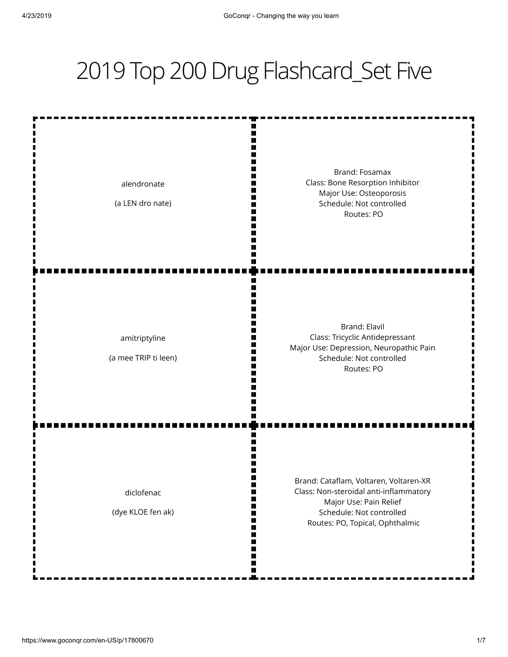## 2019 Top 200 Drug Flashcard\_Set Five

alendronate (a LEN dro nate) Brand: Fosamax Class: Bone Resorption Inhibitor Major Use: Osteoporosis Schedule: Not controlled Routes: PO amitriptyline (a mee TRIP ti leen) Brand: Elavil Class: Tricyclic Antidepressant Major Use: Depression, Neuropathic Pain Schedule: Not controlled Routes: PO diclofenac (dye KLOE fen ak) Brand: Cataflam, Voltaren, Voltaren-XR Class: Non-steroidal anti-inflammatory Major Use: Pain Relief Schedule: Not controlled Routes: PO, Topical, Ophthalmic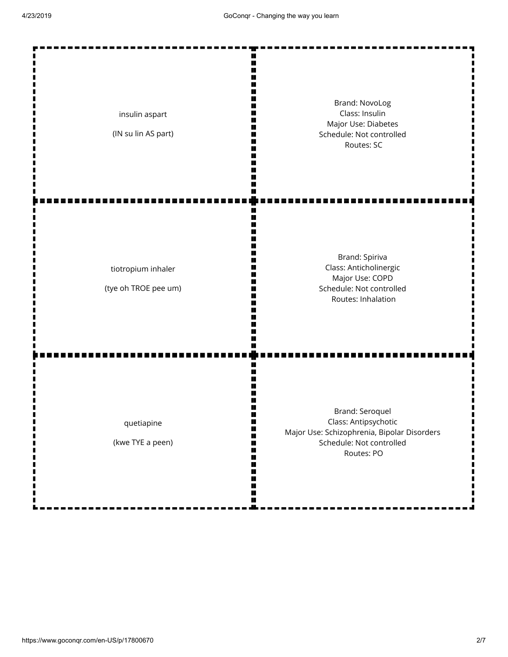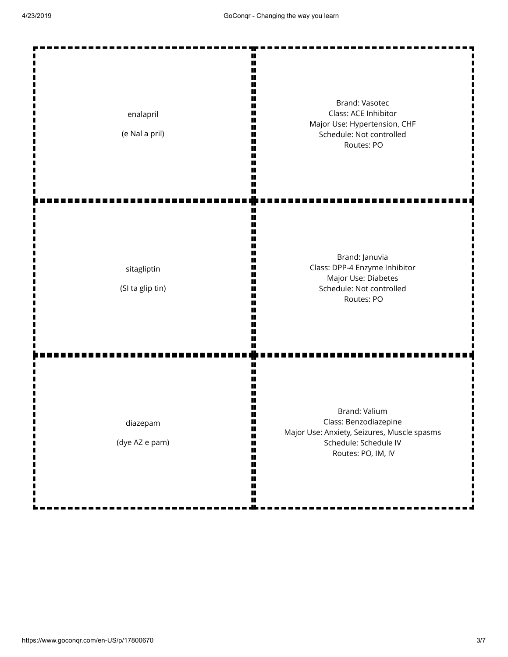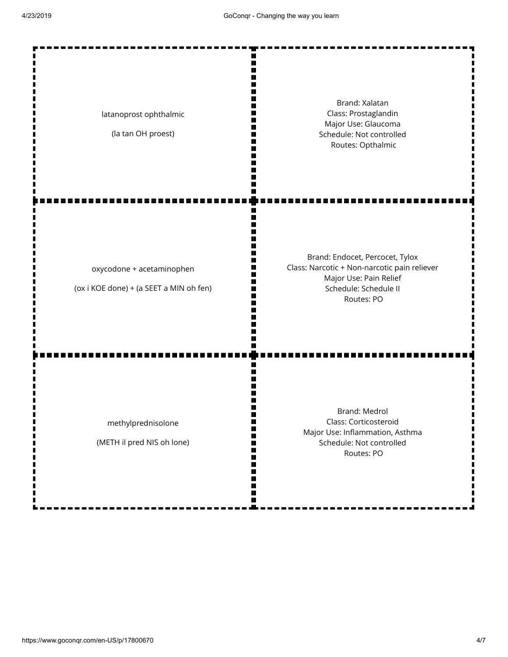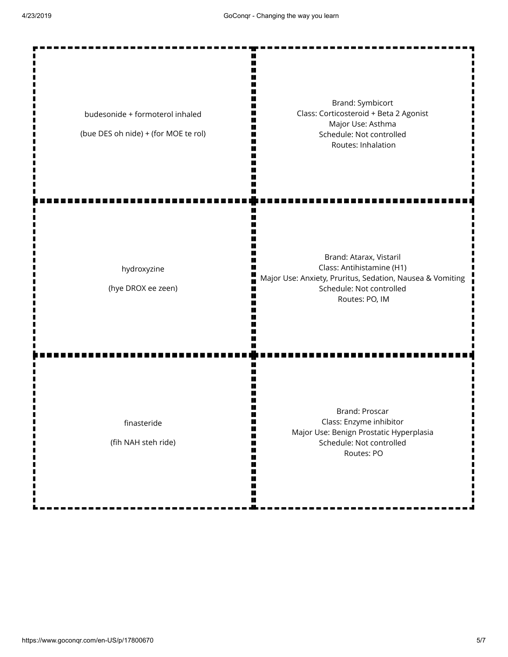г г  $\blacksquare$ 

Brand: Symbicort Class: Corticosteroid + Beta 2 Agonist budesonide + formoterol inhaled Major Use: Asthma (bue DES oh nide) + (for MOE te rol) Schedule: Not controlled Routes: Inhalation Brand: Atarax, Vistaril Class: Antihistamine (H1) hydroxyzine F Major Use: Anxiety, Pruritus, Sedation, Nausea & Vomiting (hye DROX ee zeen) Schedule: Not controlled Routes: PO, IM Brand: Proscar Class: Enzyme inhibitor finasteride Major Use: Benign Prostatic Hyperplasia (fih NAH steh ride) Schedule: Not controlled п ■ Routes: PO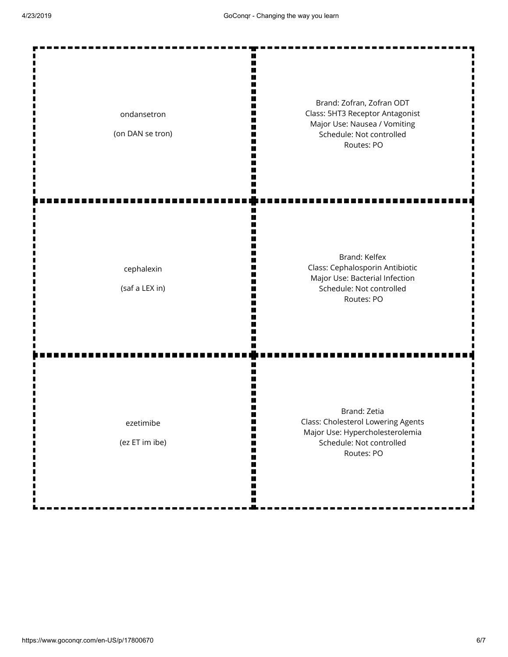| ondansetron<br>(on DAN se tron) | Brand: Zofran, Zofran ODT<br>Class: 5HT3 Receptor Antagonist<br>Major Use: Nausea / Vomiting<br>Schedule: Not controlled<br>Routes: PO |
|---------------------------------|----------------------------------------------------------------------------------------------------------------------------------------|
| cephalexin<br>(saf a LEX in)    | Brand: Kelfex<br>Class: Cephalosporin Antibiotic<br>Major Use: Bacterial Infection<br>Schedule: Not controlled<br>Routes: PO           |
| ezetimibe<br>(ez ET im ibe)     | Brand: Zetia<br>Class: Cholesterol Lowering Agents<br>Major Use: Hypercholesterolemia<br>Schedule: Not controlled<br>Routes: PO        |